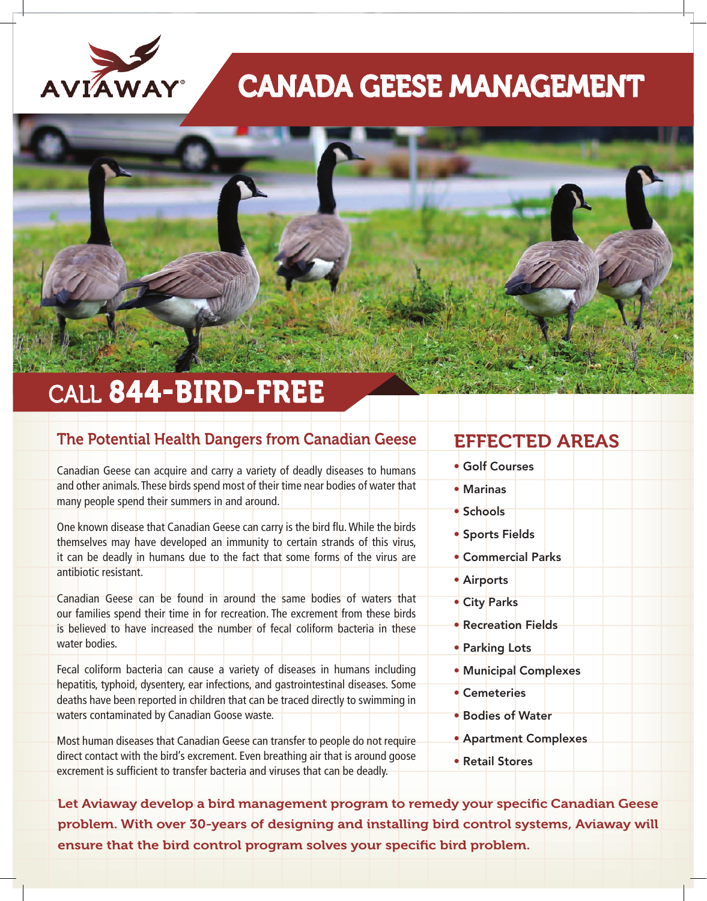

# CANADA GEESE MANAGEMENT



## CALL 844-BIRD-FREE

#### The Potential Health Dangers from Canadian Geese

Canadian Geese can acquire and carry a variety of deadly diseases to humans and other animals. These birds spend most of their time near bodies of water that many people spend their summers in and around.

One known disease that Canadian Geese can carry is the bird flu. While the birds themselves may have developed an immunity to certain strands of this virus, it can be deadly in humans due to the fact that some forms of the virus are antibiotic resistant.

Canadian Geese can be found in around the same bodies of waters that our families spend their time in for recreation. The excrement from these birds is believed to have increased the number of fecal coliform bacteria in these water bodies.

Fecal coliform bacteria can cause a variety of diseases in humans including hepatitis, typhoid, dysentery, ear infections, and gastrointestinal diseases. Some deaths have been reported in children that can be traced directly to swimming in waters contaminated by Canadian Goose waste.

Most human diseases that Canadian Geese can transfer to people do not require direct contact with the bird's excrement. Even breathing air that is around goose excrement is sufficient to transfer bacteria and viruses that can be deadly.

### EFFECTED AREAS

- Golf Courses
- Marinas
- Schools
- Sports Fields
- Commercial Parks
- Airports
- City Parks
- Recreation Fields
- Parking Lots
- Municipal Complexes
- Cemeteries
- Bodies of Water
- Apartment Complexes
- Retail Stores

Let Aviaway develop a bird management program to remedy your specific Canadian Geese problem. With over 30-years of designing and installing bird control systems, Aviaway will ensure that the bird control program solves your specific bird problem.